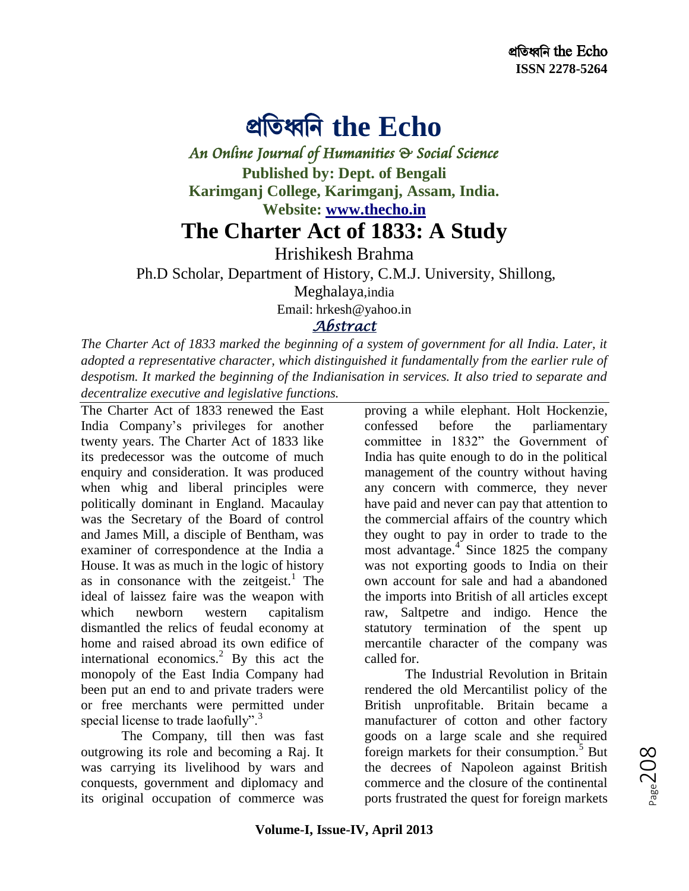# প্রতিধ্বতি **the Echo**

*An Online Journal of Humanities & Social Science* 

**Published by: Dept. of Bengali Karimganj College, Karimganj, Assam, India. Website: [www.thecho.in](http://www.thecho.in/)**

# **The Charter Act of 1833: A Study**

Hrishikesh Brahma

Ph.D Scholar, Department of History, C.M.J. University, Shillong,

Meghalaya,india

Email: hrkesh@yahoo.in

## *Abstract*

*The Charter Act of 1833 marked the beginning of a system of government for all India. Later, it adopted a representative character, which distinguished it fundamentally from the earlier rule of despotism. It marked the beginning of the Indianisation in services. It also tried to separate and decentralize executive and legislative functions.*

The Charter Act of 1833 renewed the East India Company's privileges for another twenty years. The Charter Act of 1833 like its predecessor was the outcome of much enquiry and consideration. It was produced when whig and liberal principles were politically dominant in England. Macaulay was the Secretary of the Board of control and James Mill, a disciple of Bentham, was examiner of correspondence at the India a House. It was as much in the logic of history as in consonance with the zeitgeist.<sup>1</sup> The ideal of laissez faire was the weapon with which newborn western capitalism dismantled the relics of feudal economy at home and raised abroad its own edifice of international economics.<sup>2</sup> By this act the monopoly of the East India Company had been put an end to and private traders were or free merchants were permitted under special license to trade laofully".<sup>3</sup>

The Company, till then was fast outgrowing its role and becoming a Raj. It was carrying its livelihood by wars and conquests, government and diplomacy and its original occupation of commerce was

proving a while elephant. Holt Hockenzie, confessed before the parliamentary committee in 1832" the Government of India has quite enough to do in the political management of the country without having any concern with commerce, they never have paid and never can pay that attention to the commercial affairs of the country which they ought to pay in order to trade to the most advantage.<sup>4</sup> Since 1825 the company was not exporting goods to India on their own account for sale and had a abandoned the imports into British of all articles except raw, Saltpetre and indigo. Hence the statutory termination of the spent up mercantile character of the company was called for.

The Industrial Revolution in Britain rendered the old Mercantilist policy of the British unprofitable. Britain became a manufacturer of cotton and other factory goods on a large scale and she required foreign markets for their consumption.<sup>5</sup> But the decrees of Napoleon against British commerce and the closure of the continental ports frustrated the quest for foreign markets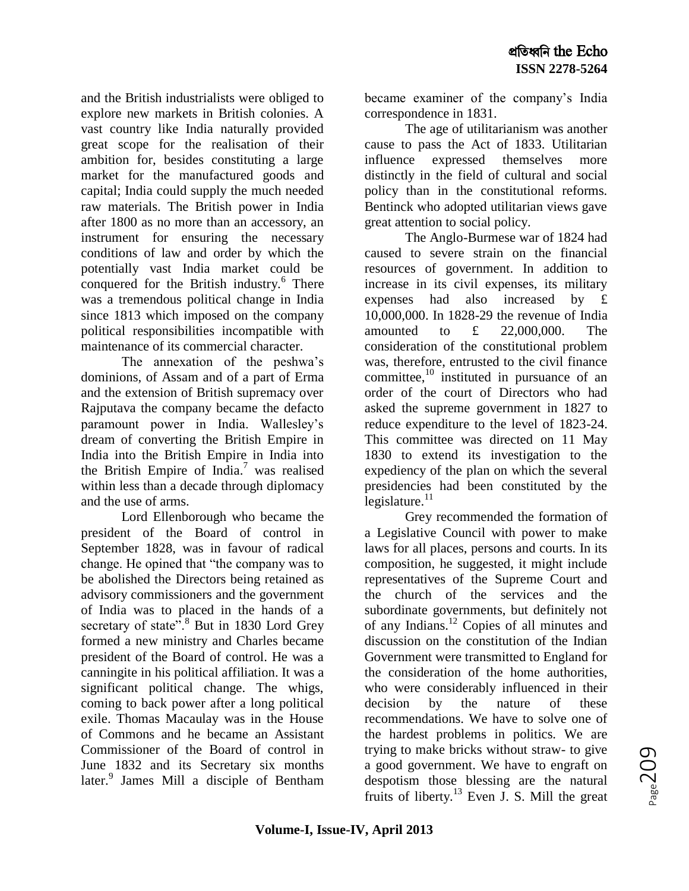and the British industrialists were obliged to explore new markets in British colonies. A vast country like India naturally provided great scope for the realisation of their ambition for, besides constituting a large market for the manufactured goods and capital; India could supply the much needed raw materials. The British power in India after 1800 as no more than an accessory, an instrument for ensuring the necessary conditions of law and order by which the potentially vast India market could be conquered for the British industry.<sup>6</sup> There was a tremendous political change in India since 1813 which imposed on the company political responsibilities incompatible with maintenance of its commercial character.

The annexation of the peshwa's dominions, of Assam and of a part of Erma and the extension of British supremacy over Rajputava the company became the defacto paramount power in India. Wallesley's dream of converting the British Empire in India into the British Empire in India into the British Empire of India.<sup>7</sup> was realised within less than a decade through diplomacy and the use of arms.

Lord Ellenborough who became the president of the Board of control in September 1828, was in favour of radical change. He opined that "the company was to be abolished the Directors being retained as advisory commissioners and the government of India was to placed in the hands of a secretary of state".<sup>8</sup> But in 1830 Lord Grey formed a new ministry and Charles became president of the Board of control. He was a canningite in his political affiliation. It was a significant political change. The whigs, coming to back power after a long political exile. Thomas Macaulay was in the House of Commons and he became an Assistant Commissioner of the Board of control in June 1832 and its Secretary six months later.<sup>9</sup> James Mill a disciple of Bentham

became examiner of the company's India correspondence in 1831.

The age of utilitarianism was another cause to pass the Act of 1833. Utilitarian influence expressed themselves more distinctly in the field of cultural and social policy than in the constitutional reforms. Bentinck who adopted utilitarian views gave great attention to social policy.

The Anglo-Burmese war of 1824 had caused to severe strain on the financial resources of government. In addition to increase in its civil expenses, its military expenses had also increased by £ 10,000,000. In 1828-29 the revenue of India amounted to  $\text{£}$  22,000,000. The consideration of the constitutional problem was, therefore, entrusted to the civil finance committee,  $^{10}$  instituted in pursuance of an order of the court of Directors who had asked the supreme government in 1827 to reduce expenditure to the level of 1823-24. This committee was directed on 11 May 1830 to extend its investigation to the expediency of the plan on which the several presidencies had been constituted by the legislature. $11$ 

Grey recommended the formation of a Legislative Council with power to make laws for all places, persons and courts. In its composition, he suggested, it might include representatives of the Supreme Court and the church of the services and the subordinate governments, but definitely not of any Indians.<sup>12</sup> Copies of all minutes and discussion on the constitution of the Indian Government were transmitted to England for the consideration of the home authorities, who were considerably influenced in their decision by the nature of these recommendations. We have to solve one of the hardest problems in politics. We are trying to make bricks without straw- to give a good government. We have to engraft on despotism those blessing are the natural fruits of liberty.<sup>13</sup> Even J. S. Mill the great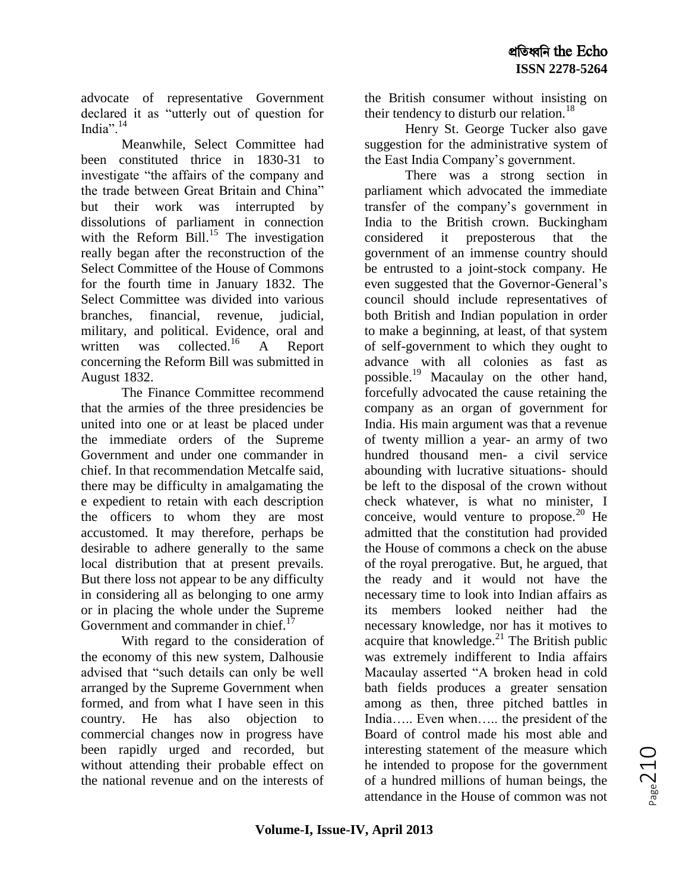advocate of representative Government declared it as "utterly out of question for India". $14$ 

Meanwhile, Select Committee had been constituted thrice in 1830-31 to investigate "the affairs of the company and the trade between Great Britain and China" but their work was interrupted by dissolutions of parliament in connection with the Reform Bill.<sup>15</sup> The investigation really began after the reconstruction of the Select Committee of the House of Commons for the fourth time in January 1832. The Select Committee was divided into various branches, financial, revenue, judicial, military, and political. Evidence, oral and written was collected.<sup>16</sup> A Report concerning the Reform Bill was submitted in August 1832.

The Finance Committee recommend that the armies of the three presidencies be united into one or at least be placed under the immediate orders of the Supreme Government and under one commander in chief. In that recommendation Metcalfe said, there may be difficulty in amalgamating the e expedient to retain with each description the officers to whom they are most accustomed. It may therefore, perhaps be desirable to adhere generally to the same local distribution that at present prevails. But there loss not appear to be any difficulty in considering all as belonging to one army or in placing the whole under the Supreme Government and commander in chief. $17$ 

With regard to the consideration of the economy of this new system, Dalhousie advised that "such details can only be well arranged by the Supreme Government when formed, and from what I have seen in this country. He has also objection to commercial changes now in progress have been rapidly urged and recorded, but without attending their probable effect on the national revenue and on the interests of

the British consumer without insisting on their tendency to disturb our relation.<sup>18</sup>

Henry St. George Tucker also gave suggestion for the administrative system of the East India Company's government.

There was a strong section in parliament which advocated the immediate transfer of the company's government in India to the British crown. Buckingham considered it preposterous that the government of an immense country should be entrusted to a joint-stock company. He even suggested that the Governor-General's council should include representatives of both British and Indian population in order to make a beginning, at least, of that system of self-government to which they ought to advance with all colonies as fast as possible.<sup>19</sup> Macaulay on the other hand, forcefully advocated the cause retaining the company as an organ of government for India. His main argument was that a revenue of twenty million a year- an army of two hundred thousand men- a civil service abounding with lucrative situations- should be left to the disposal of the crown without check whatever, is what no minister, I conceive, would venture to propose.<sup>20</sup> He admitted that the constitution had provided the House of commons a check on the abuse of the royal prerogative. But, he argued, that the ready and it would not have the necessary time to look into Indian affairs as its members looked neither had the necessary knowledge, nor has it motives to acquire that knowledge. $^{21}$  The British public was extremely indifferent to India affairs Macaulay asserted "A broken head in cold bath fields produces a greater sensation among as then, three pitched battles in India….. Even when….. the president of the Board of control made his most able and interesting statement of the measure which he intended to propose for the government of a hundred millions of human beings, the attendance in the House of common was not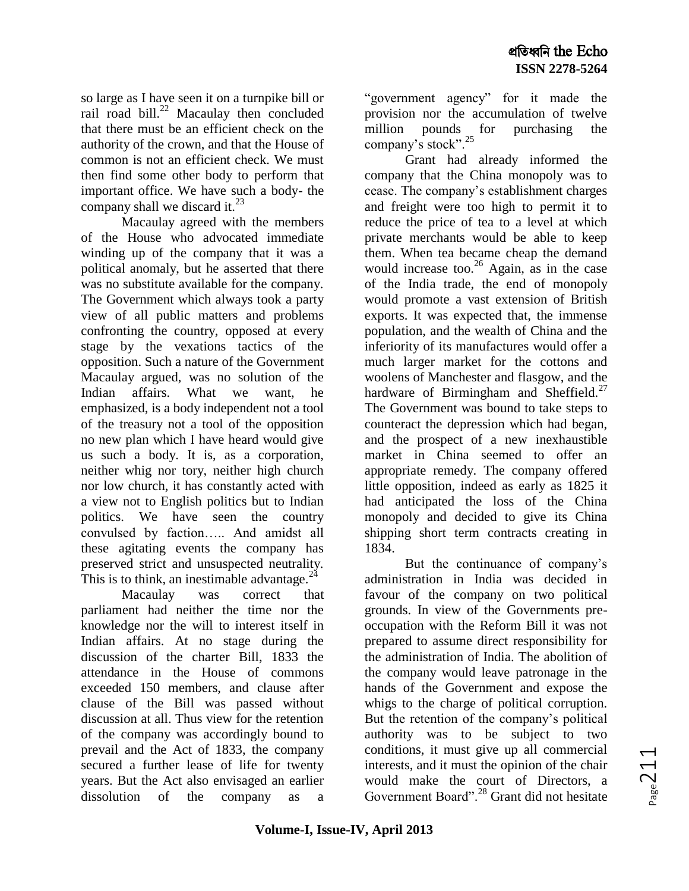so large as I have seen it on a turnpike bill or rail road bill.<sup>22</sup> Macaulay then concluded that there must be an efficient check on the authority of the crown, and that the House of common is not an efficient check. We must then find some other body to perform that important office. We have such a body- the company shall we discard it. $^{23}$ 

Macaulay agreed with the members of the House who advocated immediate winding up of the company that it was a political anomaly, but he asserted that there was no substitute available for the company. The Government which always took a party view of all public matters and problems confronting the country, opposed at every stage by the vexations tactics of the opposition. Such a nature of the Government Macaulay argued, was no solution of the Indian affairs. What we want, he emphasized, is a body independent not a tool of the treasury not a tool of the opposition no new plan which I have heard would give us such a body. It is, as a corporation, neither whig nor tory, neither high church nor low church, it has constantly acted with a view not to English politics but to Indian politics. We have seen the country convulsed by faction….. And amidst all these agitating events the company has preserved strict and unsuspected neutrality. This is to think, an inestimable advantage. $^{24}$ 

Macaulay was correct that parliament had neither the time nor the knowledge nor the will to interest itself in Indian affairs. At no stage during the discussion of the charter Bill, 1833 the attendance in the House of commons exceeded 150 members, and clause after clause of the Bill was passed without discussion at all. Thus view for the retention of the company was accordingly bound to prevail and the Act of 1833, the company secured a further lease of life for twenty years. But the Act also envisaged an earlier dissolution of the company as a

"government agency" for it made the provision nor the accumulation of twelve million pounds for purchasing the company's stock".<sup>25</sup>

Grant had already informed the company that the China monopoly was to cease. The company's establishment charges and freight were too high to permit it to reduce the price of tea to a level at which private merchants would be able to keep them. When tea became cheap the demand would increase too. $26$  Again, as in the case of the India trade, the end of monopoly would promote a vast extension of British exports. It was expected that, the immense population, and the wealth of China and the inferiority of its manufactures would offer a much larger market for the cottons and woolens of Manchester and flasgow, and the hardware of Birmingham and Sheffield.<sup>27</sup> The Government was bound to take steps to counteract the depression which had began, and the prospect of a new inexhaustible market in China seemed to offer an appropriate remedy. The company offered little opposition, indeed as early as 1825 it had anticipated the loss of the China monopoly and decided to give its China shipping short term contracts creating in 1834.

But the continuance of company's administration in India was decided in favour of the company on two political grounds. In view of the Governments preoccupation with the Reform Bill it was not prepared to assume direct responsibility for the administration of India. The abolition of the company would leave patronage in the hands of the Government and expose the whigs to the charge of political corruption. But the retention of the company's political authority was to be subject to two conditions, it must give up all commercial interests, and it must the opinion of the chair would make the court of Directors, a Government Board".<sup>28</sup> Grant did not hesitate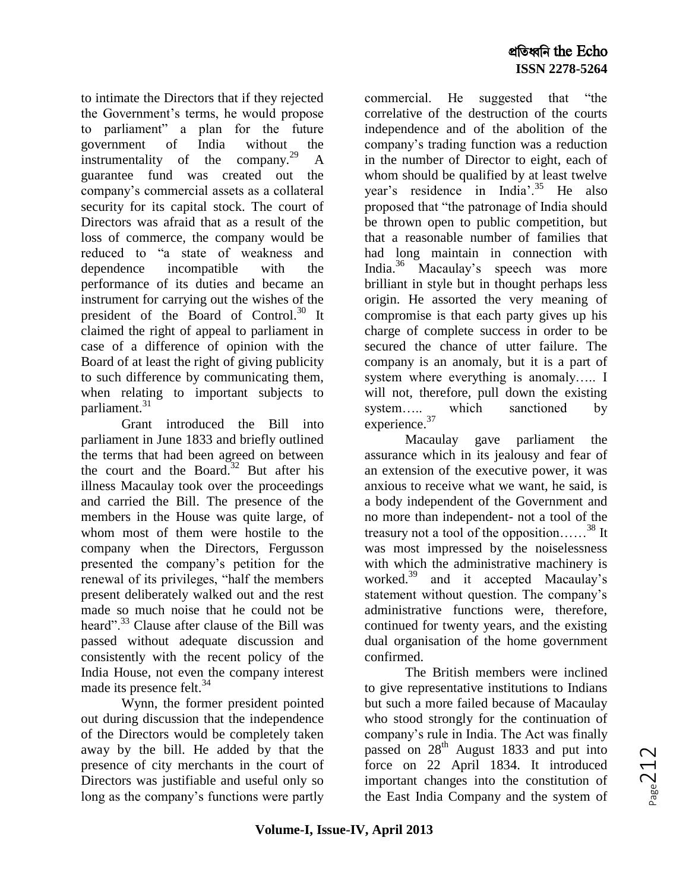to intimate the Directors that if they rejected the Government's terms, he would propose to parliament" a plan for the future government of India without the instrumentality of the company.<sup>29</sup> A guarantee fund was created out the company's commercial assets as a collateral security for its capital stock. The court of Directors was afraid that as a result of the loss of commerce, the company would be reduced to "a state of weakness and dependence incompatible with the performance of its duties and became an instrument for carrying out the wishes of the president of the Board of Control.<sup>30</sup> It claimed the right of appeal to parliament in case of a difference of opinion with the Board of at least the right of giving publicity to such difference by communicating them, when relating to important subjects to parliament.<sup>31</sup>

Grant introduced the Bill into parliament in June 1833 and briefly outlined the terms that had been agreed on between the court and the Board.<sup>32</sup> But after his illness Macaulay took over the proceedings and carried the Bill. The presence of the members in the House was quite large, of whom most of them were hostile to the company when the Directors, Fergusson presented the company's petition for the renewal of its privileges, "half the members" present deliberately walked out and the rest made so much noise that he could not be heard".<sup>33</sup> Clause after clause of the Bill was passed without adequate discussion and consistently with the recent policy of the India House, not even the company interest made its presence felt.<sup>34</sup>

Wynn, the former president pointed out during discussion that the independence of the Directors would be completely taken away by the bill. He added by that the presence of city merchants in the court of Directors was justifiable and useful only so long as the company's functions were partly

commercial. He suggested that "the correlative of the destruction of the courts independence and of the abolition of the company's trading function was a reduction in the number of Director to eight, each of whom should be qualified by at least twelve year's residence in India'.<sup>35</sup> He also proposed that "the patronage of India should" be thrown open to public competition, but that a reasonable number of families that had long maintain in connection with India.<sup>36</sup> Macaulay's speech was more brilliant in style but in thought perhaps less origin. He assorted the very meaning of compromise is that each party gives up his charge of complete success in order to be secured the chance of utter failure. The company is an anomaly, but it is a part of system where everything is anomaly….. I will not, therefore, pull down the existing system….. which sanctioned by experience.<sup>37</sup>

Macaulay gave parliament the assurance which in its jealousy and fear of an extension of the executive power, it was anxious to receive what we want, he said, is a body independent of the Government and no more than independent- not a tool of the treasury not a tool of the opposition......<sup>38</sup> It was most impressed by the noiselessness with which the administrative machinery is worked.<sup>39</sup> and it accepted Macaulay's statement without question. The company's administrative functions were, therefore, continued for twenty years, and the existing dual organisation of the home government confirmed.

The British members were inclined to give representative institutions to Indians but such a more failed because of Macaulay who stood strongly for the continuation of company's rule in India. The Act was finally passed on 28<sup>th</sup> August 1833 and put into force on 22 April 1834. It introduced important changes into the constitution of the East India Company and the system of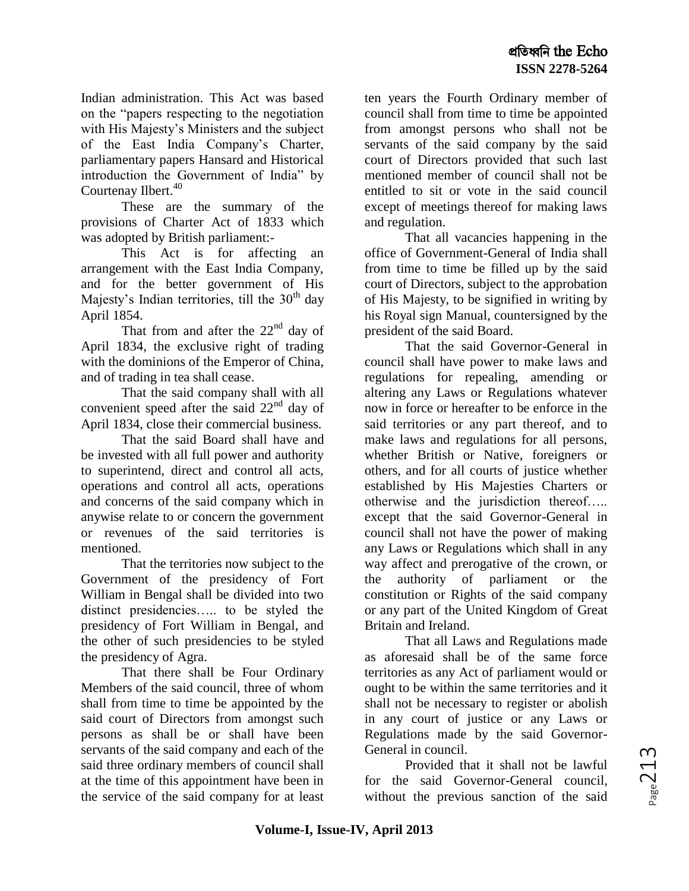Indian administration. This Act was based on the "papers respecting to the negotiation" with His Majesty's Ministers and the subject of the East India Company's Charter, parliamentary papers Hansard and Historical introduction the Government of India" by Courtenay Ilbert.<sup>40</sup>

These are the summary of the provisions of Charter Act of 1833 which was adopted by British parliament:-

This Act is for affecting an arrangement with the East India Company, and for the better government of His Majesty's Indian territories, till the  $30<sup>th</sup>$  day April 1854.

That from and after the  $22<sup>nd</sup>$  day of April 1834, the exclusive right of trading with the dominions of the Emperor of China, and of trading in tea shall cease.

That the said company shall with all convenient speed after the said  $22<sup>nd</sup>$  day of April 1834, close their commercial business.

That the said Board shall have and be invested with all full power and authority to superintend, direct and control all acts, operations and control all acts, operations and concerns of the said company which in anywise relate to or concern the government or revenues of the said territories is mentioned.

That the territories now subject to the Government of the presidency of Fort William in Bengal shall be divided into two distinct presidencies….. to be styled the presidency of Fort William in Bengal, and the other of such presidencies to be styled the presidency of Agra.

That there shall be Four Ordinary Members of the said council, three of whom shall from time to time be appointed by the said court of Directors from amongst such persons as shall be or shall have been servants of the said company and each of the said three ordinary members of council shall at the time of this appointment have been in the service of the said company for at least

ten years the Fourth Ordinary member of council shall from time to time be appointed from amongst persons who shall not be servants of the said company by the said court of Directors provided that such last mentioned member of council shall not be entitled to sit or vote in the said council except of meetings thereof for making laws and regulation.

That all vacancies happening in the office of Government-General of India shall from time to time be filled up by the said court of Directors, subject to the approbation of His Majesty, to be signified in writing by his Royal sign Manual, countersigned by the president of the said Board.

That the said Governor-General in council shall have power to make laws and regulations for repealing, amending or altering any Laws or Regulations whatever now in force or hereafter to be enforce in the said territories or any part thereof, and to make laws and regulations for all persons, whether British or Native, foreigners or others, and for all courts of justice whether established by His Majesties Charters or otherwise and the jurisdiction thereof….. except that the said Governor-General in council shall not have the power of making any Laws or Regulations which shall in any way affect and prerogative of the crown, or the authority of parliament or the constitution or Rights of the said company or any part of the United Kingdom of Great Britain and Ireland.

That all Laws and Regulations made as aforesaid shall be of the same force territories as any Act of parliament would or ought to be within the same territories and it shall not be necessary to register or abolish in any court of justice or any Laws or Regulations made by the said Governor-General in council.

Provided that it shall not be lawful for the said Governor-General council, without the previous sanction of the said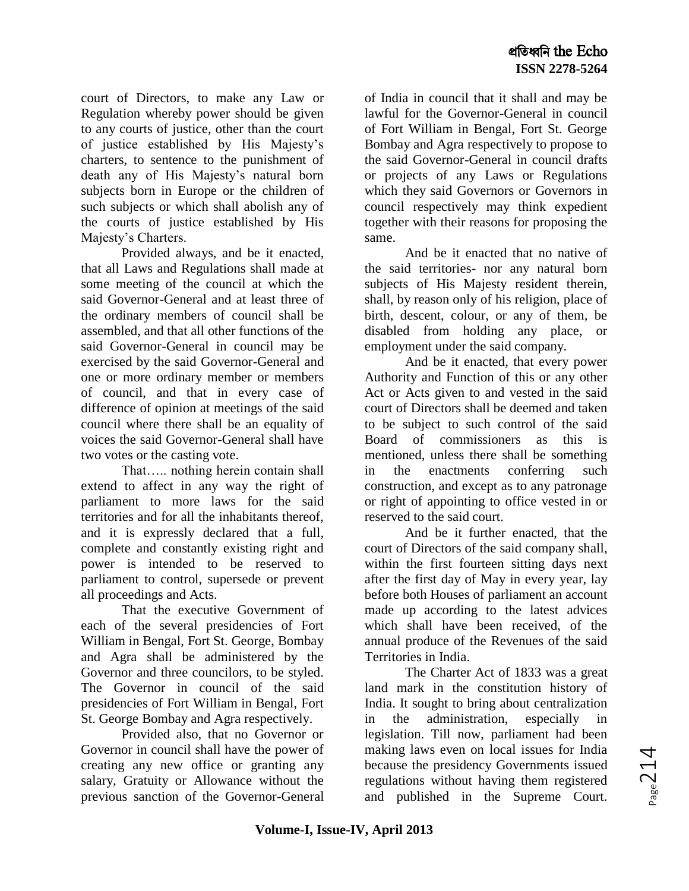court of Directors, to make any Law or Regulation whereby power should be given to any courts of justice, other than the court of justice established by His Majesty's charters, to sentence to the punishment of death any of His Majesty's natural born subjects born in Europe or the children of such subjects or which shall abolish any of the courts of justice established by His Majesty's Charters.

Provided always, and be it enacted, that all Laws and Regulations shall made at some meeting of the council at which the said Governor-General and at least three of the ordinary members of council shall be assembled, and that all other functions of the said Governor-General in council may be exercised by the said Governor-General and one or more ordinary member or members of council, and that in every case of difference of opinion at meetings of the said council where there shall be an equality of voices the said Governor-General shall have two votes or the casting vote.

That….. nothing herein contain shall extend to affect in any way the right of parliament to more laws for the said territories and for all the inhabitants thereof, and it is expressly declared that a full, complete and constantly existing right and power is intended to be reserved to parliament to control, supersede or prevent all proceedings and Acts.

That the executive Government of each of the several presidencies of Fort William in Bengal, Fort St. George, Bombay and Agra shall be administered by the Governor and three councilors, to be styled. The Governor in council of the said presidencies of Fort William in Bengal, Fort St. George Bombay and Agra respectively.

Provided also, that no Governor or Governor in council shall have the power of creating any new office or granting any salary, Gratuity or Allowance without the previous sanction of the Governor-General of India in council that it shall and may be lawful for the Governor-General in council of Fort William in Bengal, Fort St. George Bombay and Agra respectively to propose to the said Governor-General in council drafts or projects of any Laws or Regulations which they said Governors or Governors in council respectively may think expedient together with their reasons for proposing the same.

And be it enacted that no native of the said territories- nor any natural born subjects of His Majesty resident therein, shall, by reason only of his religion, place of birth, descent, colour, or any of them, be disabled from holding any place, or employment under the said company.

And be it enacted, that every power Authority and Function of this or any other Act or Acts given to and vested in the said court of Directors shall be deemed and taken to be subject to such control of the said Board of commissioners as this is mentioned, unless there shall be something in the enactments conferring such construction, and except as to any patronage or right of appointing to office vested in or reserved to the said court.

And be it further enacted, that the court of Directors of the said company shall, within the first fourteen sitting days next after the first day of May in every year, lay before both Houses of parliament an account made up according to the latest advices which shall have been received, of the annual produce of the Revenues of the said Territories in India.

The Charter Act of 1833 was a great land mark in the constitution history of India. It sought to bring about centralization in the administration, especially in legislation. Till now, parliament had been making laws even on local issues for India because the presidency Governments issued regulations without having them registered and published in the Supreme Court.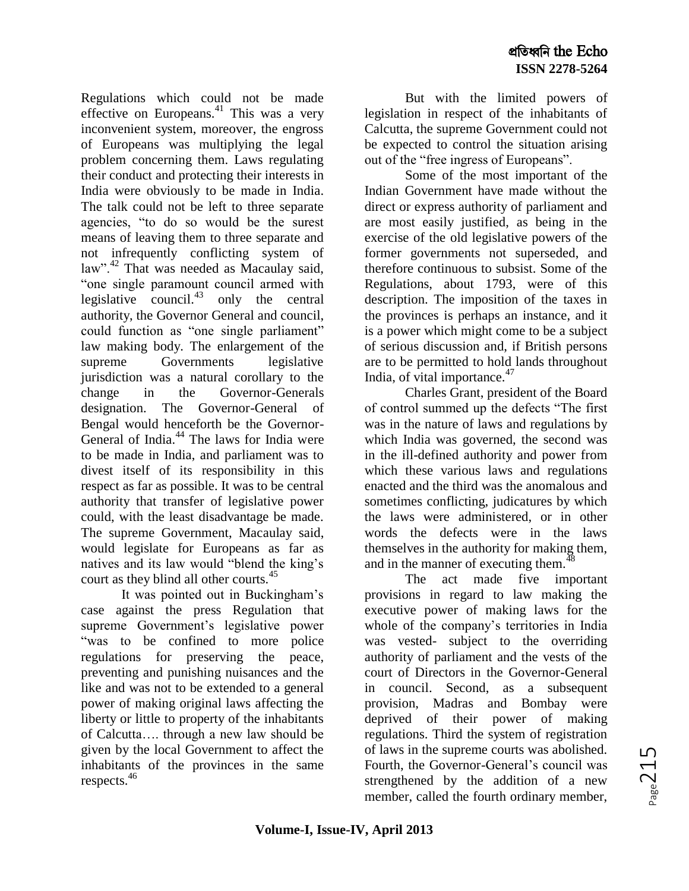Regulations which could not be made effective on Europeans.<sup>41</sup> This was a very inconvenient system, moreover, the engross of Europeans was multiplying the legal problem concerning them. Laws regulating their conduct and protecting their interests in India were obviously to be made in India. The talk could not be left to three separate agencies, "to do so would be the surest means of leaving them to three separate and not infrequently conflicting system of  $law''$ .<sup>42</sup> That was needed as Macaulay said, "one single paramount council armed with legislative council. $^{43}$  only the central authority, the Governor General and council, could function as "one single parliament" law making body. The enlargement of the supreme Governments legislative jurisdiction was a natural corollary to the change in the Governor-Generals designation. The Governor-General of Bengal would henceforth be the Governor-General of India.<sup>44</sup> The laws for India were to be made in India, and parliament was to divest itself of its responsibility in this respect as far as possible. It was to be central authority that transfer of legislative power could, with the least disadvantage be made. The supreme Government, Macaulay said, would legislate for Europeans as far as natives and its law would "blend the king's court as they blind all other courts.<sup>45</sup>

It was pointed out in Buckingham's case against the press Regulation that supreme Government's legislative power "was to be confined to more police regulations for preserving the peace, preventing and punishing nuisances and the like and was not to be extended to a general power of making original laws affecting the liberty or little to property of the inhabitants of Calcutta…. through a new law should be given by the local Government to affect the inhabitants of the provinces in the same respects.<sup>46</sup>

But with the limited powers of legislation in respect of the inhabitants of Calcutta, the supreme Government could not be expected to control the situation arising out of the "free ingress of Europeans".

Some of the most important of the Indian Government have made without the direct or express authority of parliament and are most easily justified, as being in the exercise of the old legislative powers of the former governments not superseded, and therefore continuous to subsist. Some of the Regulations, about 1793, were of this description. The imposition of the taxes in the provinces is perhaps an instance, and it is a power which might come to be a subject of serious discussion and, if British persons are to be permitted to hold lands throughout India, of vital importance.<sup>47</sup>

Charles Grant, president of the Board of control summed up the defects "The first was in the nature of laws and regulations by which India was governed, the second was in the ill-defined authority and power from which these various laws and regulations enacted and the third was the anomalous and sometimes conflicting, judicatures by which the laws were administered, or in other words the defects were in the laws themselves in the authority for making them, and in the manner of executing them.<sup>48</sup>

The act made five important provisions in regard to law making the executive power of making laws for the whole of the company's territories in India was vested- subject to the overriding authority of parliament and the vests of the court of Directors in the Governor-General in council. Second, as a subsequent provision, Madras and Bombay were deprived of their power of making regulations. Third the system of registration of laws in the supreme courts was abolished. Fourth, the Governor-General's council was strengthened by the addition of a new member, called the fourth ordinary member,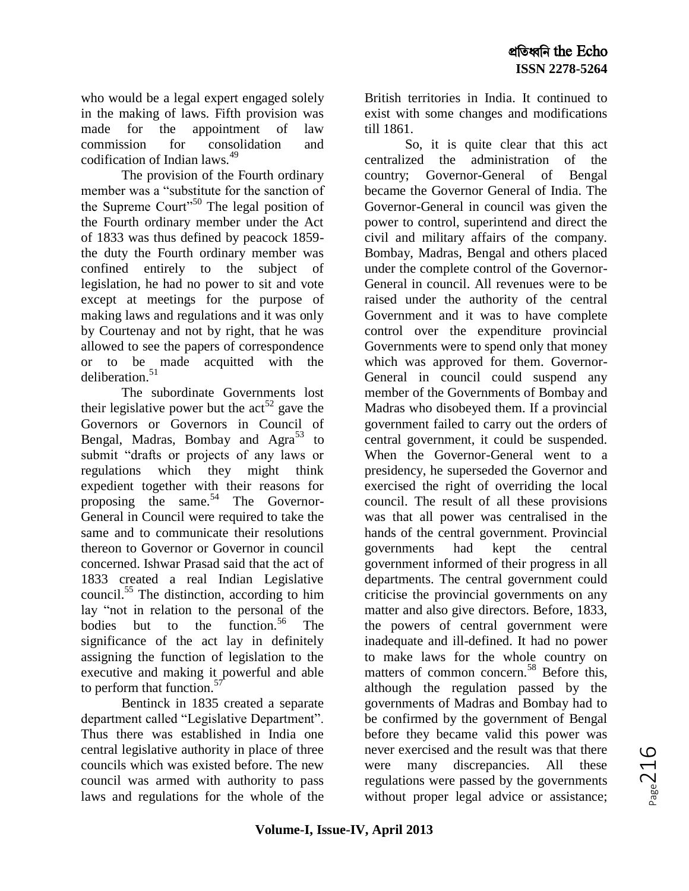who would be a legal expert engaged solely in the making of laws. Fifth provision was made for the appointment of law commission for consolidation and codification of Indian laws.<sup>49</sup>

The provision of the Fourth ordinary member was a "substitute for the sanction of the Supreme Court"<sup>50</sup> The legal position of the Fourth ordinary member under the Act of 1833 was thus defined by peacock 1859 the duty the Fourth ordinary member was confined entirely to the subject of legislation, he had no power to sit and vote except at meetings for the purpose of making laws and regulations and it was only by Courtenay and not by right, that he was allowed to see the papers of correspondence or to be made acquitted with the deliberation.<sup>51</sup>

The subordinate Governments lost their legislative power but the  $\arctan 52$  gave the Governors or Governors in Council of Bengal, Madras, Bombay and Agra<sup>53</sup> to submit "drafts or projects of any laws or regulations which they might think expedient together with their reasons for proposing the same.<sup>54</sup> The Governor-General in Council were required to take the same and to communicate their resolutions thereon to Governor or Governor in council concerned. Ishwar Prasad said that the act of 1833 created a real Indian Legislative council. <sup>55</sup> The distinction, according to him lay "not in relation to the personal of the bodies but to the function.<sup>56</sup> The bodies but to the function.<sup>56</sup> The significance of the act lay in definitely assigning the function of legislation to the executive and making it powerful and able to perform that function.<sup>57</sup>

Bentinck in 1835 created a separate department called "Legislative Department". Thus there was established in India one central legislative authority in place of three councils which was existed before. The new council was armed with authority to pass laws and regulations for the whole of the

British territories in India. It continued to exist with some changes and modifications till 1861.

So, it is quite clear that this act centralized the administration of the country; Governor-General of Bengal became the Governor General of India. The Governor-General in council was given the power to control, superintend and direct the civil and military affairs of the company. Bombay, Madras, Bengal and others placed under the complete control of the Governor-General in council. All revenues were to be raised under the authority of the central Government and it was to have complete control over the expenditure provincial Governments were to spend only that money which was approved for them. Governor-General in council could suspend any member of the Governments of Bombay and Madras who disobeyed them. If a provincial government failed to carry out the orders of central government, it could be suspended. When the Governor-General went to a presidency, he superseded the Governor and exercised the right of overriding the local council. The result of all these provisions was that all power was centralised in the hands of the central government. Provincial governments had kept the central government informed of their progress in all departments. The central government could criticise the provincial governments on any matter and also give directors. Before, 1833, the powers of central government were inadequate and ill-defined. It had no power to make laws for the whole country on matters of common concern.<sup>58</sup> Before this, although the regulation passed by the governments of Madras and Bombay had to be confirmed by the government of Bengal before they became valid this power was never exercised and the result was that there were many discrepancies. All these regulations were passed by the governments without proper legal advice or assistance;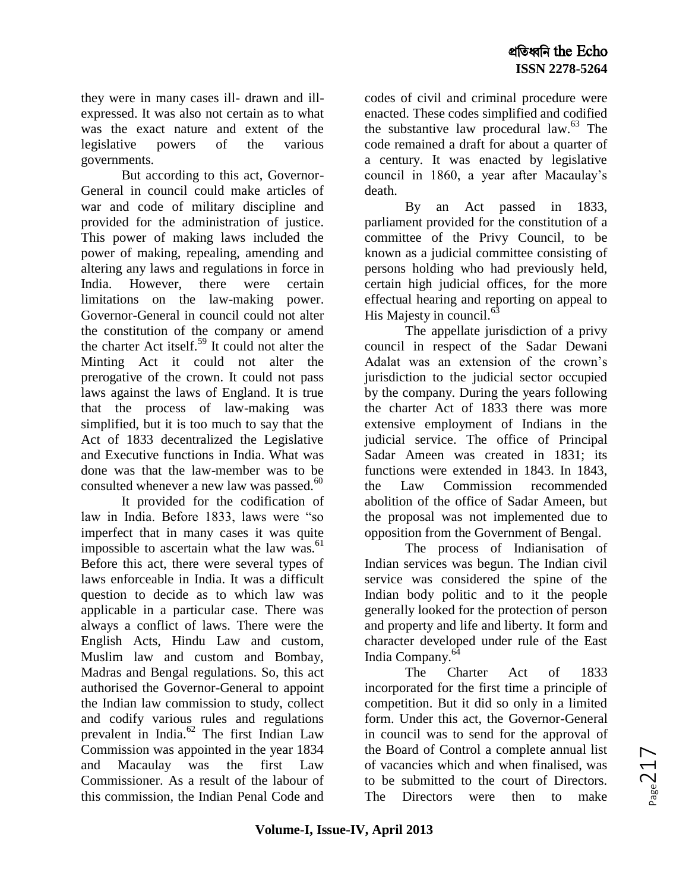they were in many cases ill- drawn and illexpressed. It was also not certain as to what was the exact nature and extent of the legislative powers of the various governments.

But according to this act, Governor-General in council could make articles of war and code of military discipline and provided for the administration of justice. This power of making laws included the power of making, repealing, amending and altering any laws and regulations in force in India. However, there were certain limitations on the law-making power. Governor-General in council could not alter the constitution of the company or amend the charter Act itself.<sup>59</sup> It could not alter the Minting Act it could not alter the prerogative of the crown. It could not pass laws against the laws of England. It is true that the process of law-making was simplified, but it is too much to say that the Act of 1833 decentralized the Legislative and Executive functions in India. What was done was that the law-member was to be consulted whenever a new law was passed.<sup>60</sup>

It provided for the codification of law in India. Before 1833, laws were "so imperfect that in many cases it was quite impossible to ascertain what the law was.<sup>61</sup> Before this act, there were several types of laws enforceable in India. It was a difficult question to decide as to which law was applicable in a particular case. There was always a conflict of laws. There were the English Acts, Hindu Law and custom, Muslim law and custom and Bombay, Madras and Bengal regulations. So, this act authorised the Governor-General to appoint the Indian law commission to study, collect and codify various rules and regulations prevalent in India.<sup>62</sup> The first Indian Law Commission was appointed in the year 1834 and Macaulay was the first Law Commissioner. As a result of the labour of this commission, the Indian Penal Code and

codes of civil and criminal procedure were enacted. These codes simplified and codified the substantive law procedural law. $<sup>63</sup>$  The</sup> code remained a draft for about a quarter of a century. It was enacted by legislative council in 1860, a year after Macaulay's death.

By an Act passed in 1833, parliament provided for the constitution of a committee of the Privy Council, to be known as a judicial committee consisting of persons holding who had previously held, certain high judicial offices, for the more effectual hearing and reporting on appeal to His Majesty in council.<sup>63</sup>

The appellate jurisdiction of a privy council in respect of the Sadar Dewani Adalat was an extension of the crown's jurisdiction to the judicial sector occupied by the company. During the years following the charter Act of 1833 there was more extensive employment of Indians in the judicial service. The office of Principal Sadar Ameen was created in 1831; its functions were extended in 1843. In 1843, the Law Commission recommended abolition of the office of Sadar Ameen, but the proposal was not implemented due to opposition from the Government of Bengal.

The process of Indianisation of Indian services was begun. The Indian civil service was considered the spine of the Indian body politic and to it the people generally looked for the protection of person and property and life and liberty. It form and character developed under rule of the East India Company.<sup>64</sup>

The Charter Act of 1833 incorporated for the first time a principle of competition. But it did so only in a limited form. Under this act, the Governor-General in council was to send for the approval of the Board of Control a complete annual list of vacancies which and when finalised, was to be submitted to the court of Directors. The Directors were then to make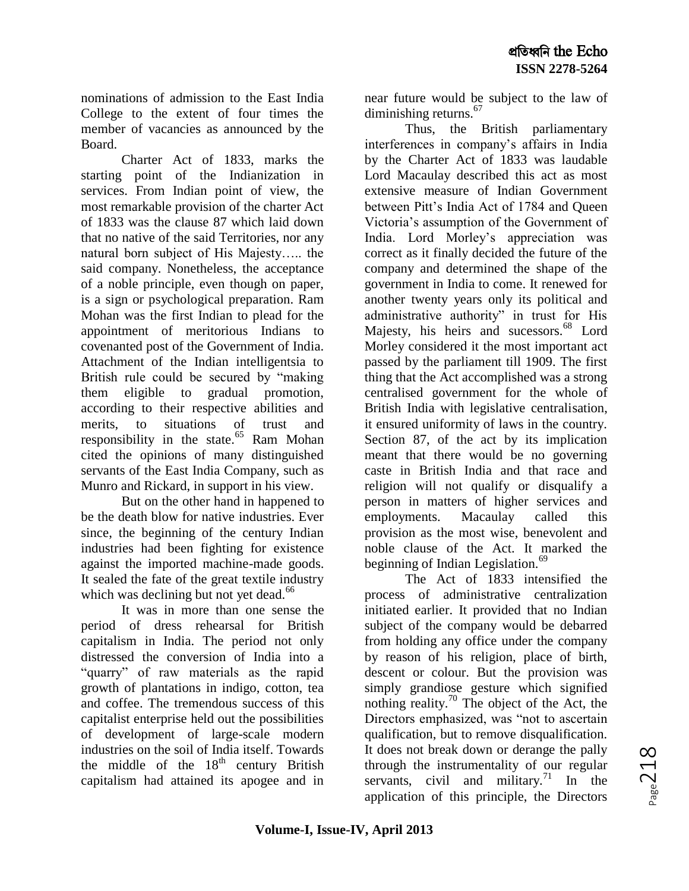nominations of admission to the East India College to the extent of four times the member of vacancies as announced by the Board.

Charter Act of 1833, marks the starting point of the Indianization in services. From Indian point of view, the most remarkable provision of the charter Act of 1833 was the clause 87 which laid down that no native of the said Territories, nor any natural born subject of His Majesty….. the said company. Nonetheless, the acceptance of a noble principle, even though on paper, is a sign or psychological preparation. Ram Mohan was the first Indian to plead for the appointment of meritorious Indians to covenanted post of the Government of India. Attachment of the Indian intelligentsia to British rule could be secured by "making" them eligible to gradual promotion, according to their respective abilities and merits, to situations of trust and responsibility in the state. $65$  Ram Mohan cited the opinions of many distinguished servants of the East India Company, such as Munro and Rickard, in support in his view.

But on the other hand in happened to be the death blow for native industries. Ever since, the beginning of the century Indian industries had been fighting for existence against the imported machine-made goods. It sealed the fate of the great textile industry which was declining but not yet dead.<sup>66</sup>

It was in more than one sense the period of dress rehearsal for British capitalism in India. The period not only distressed the conversion of India into a "quarry" of raw materials as the rapid growth of plantations in indigo, cotton, tea and coffee. The tremendous success of this capitalist enterprise held out the possibilities of development of large-scale modern industries on the soil of India itself. Towards the middle of the  $18<sup>th</sup>$  century British capitalism had attained its apogee and in

near future would be subject to the law of diminishing returns.<sup>67</sup>

Thus, the British parliamentary interferences in company's affairs in India by the Charter Act of 1833 was laudable Lord Macaulay described this act as most extensive measure of Indian Government between Pitt's India Act of 1784 and Queen Victoria's assumption of the Government of India. Lord Morley's appreciation was correct as it finally decided the future of the company and determined the shape of the government in India to come. It renewed for another twenty years only its political and administrative authority" in trust for His Majesty, his heirs and sucessors.<sup>68</sup> Lord Morley considered it the most important act passed by the parliament till 1909. The first thing that the Act accomplished was a strong centralised government for the whole of British India with legislative centralisation, it ensured uniformity of laws in the country. Section 87, of the act by its implication meant that there would be no governing caste in British India and that race and religion will not qualify or disqualify a person in matters of higher services and employments. Macaulay called this provision as the most wise, benevolent and noble clause of the Act. It marked the beginning of Indian Legislation.<sup>69</sup>

The Act of 1833 intensified the process of administrative centralization initiated earlier. It provided that no Indian subject of the company would be debarred from holding any office under the company by reason of his religion, place of birth, descent or colour. But the provision was simply grandiose gesture which signified nothing reality.<sup>70</sup> The object of the Act, the Directors emphasized, was "not to ascertain qualification, but to remove disqualification. It does not break down or derange the pally through the instrumentality of our regular servants, civil and military.<sup>71</sup> In the application of this principle, the Directors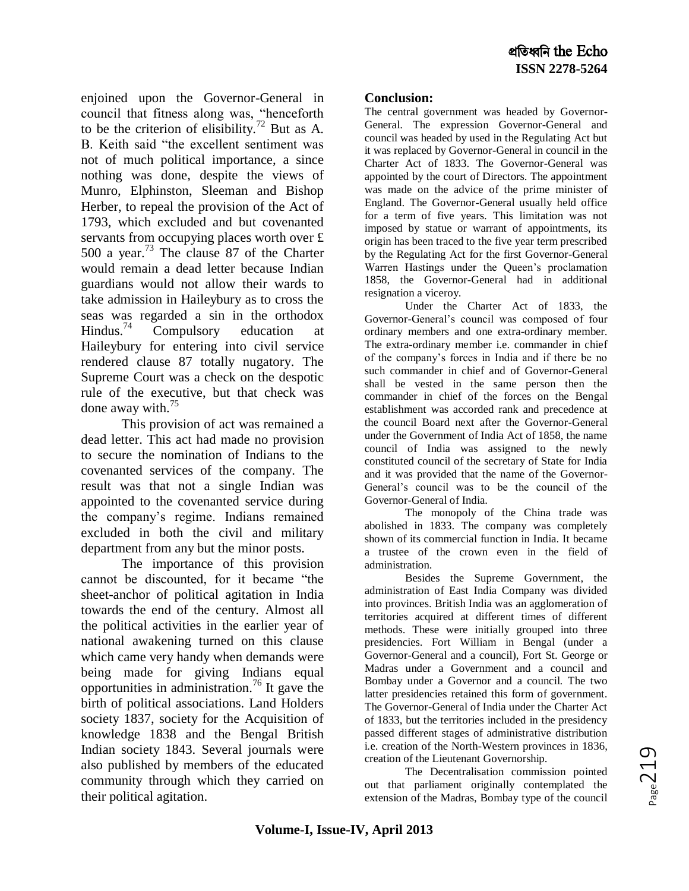enjoined upon the Governor-General in council that fitness along was, "henceforth to be the criterion of elisibility.<sup>72</sup> But as A. B. Keith said "the excellent sentiment was not of much political importance, a since nothing was done, despite the views of Munro, Elphinston, Sleeman and Bishop Herber, to repeal the provision of the Act of 1793, which excluded and but covenanted servants from occupying places worth over £ 500 a year.<sup>73</sup> The clause 87 of the Charter would remain a dead letter because Indian guardians would not allow their wards to take admission in Haileybury as to cross the seas was regarded a sin in the orthodox Hindus.<sup>74</sup> Compulsory education at Haileybury for entering into civil service rendered clause 87 totally nugatory. The Supreme Court was a check on the despotic rule of the executive, but that check was done away with. $^{75}$ 

This provision of act was remained a dead letter. This act had made no provision to secure the nomination of Indians to the covenanted services of the company. The result was that not a single Indian was appointed to the covenanted service during the company's regime. Indians remained excluded in both the civil and military department from any but the minor posts.

The importance of this provision cannot be discounted, for it became "the sheet-anchor of political agitation in India towards the end of the century. Almost all the political activities in the earlier year of national awakening turned on this clause which came very handy when demands were being made for giving Indians equal opportunities in administration.<sup>76</sup> It gave the birth of political associations. Land Holders society 1837, society for the Acquisition of knowledge 1838 and the Bengal British Indian society 1843. Several journals were also published by members of the educated community through which they carried on their political agitation.

#### **Conclusion:**

The central government was headed by Governor-General. The expression Governor-General and council was headed by used in the Regulating Act but it was replaced by Governor-General in council in the Charter Act of 1833. The Governor-General was appointed by the court of Directors. The appointment was made on the advice of the prime minister of England. The Governor-General usually held office for a term of five years. This limitation was not imposed by statue or warrant of appointments, its origin has been traced to the five year term prescribed by the Regulating Act for the first Governor-General Warren Hastings under the Queen's proclamation 1858, the Governor-General had in additional resignation a viceroy.

Under the Charter Act of 1833, the Governor-General's council was composed of four ordinary members and one extra-ordinary member. The extra-ordinary member i.e. commander in chief of the company's forces in India and if there be no such commander in chief and of Governor-General shall be vested in the same person then the commander in chief of the forces on the Bengal establishment was accorded rank and precedence at the council Board next after the Governor-General under the Government of India Act of 1858, the name council of India was assigned to the newly constituted council of the secretary of State for India and it was provided that the name of the Governor-General's council was to be the council of the Governor-General of India.

The monopoly of the China trade was abolished in 1833. The company was completely shown of its commercial function in India. It became a trustee of the crown even in the field of administration.

Besides the Supreme Government, the administration of East India Company was divided into provinces. British India was an agglomeration of territories acquired at different times of different methods. These were initially grouped into three presidencies. Fort William in Bengal (under a Governor-General and a council), Fort St. George or Madras under a Government and a council and Bombay under a Governor and a council. The two latter presidencies retained this form of government. The Governor-General of India under the Charter Act of 1833, but the territories included in the presidency passed different stages of administrative distribution i.e. creation of the North-Western provinces in 1836, creation of the Lieutenant Governorship.

The Decentralisation commission pointed out that parliament originally contemplated the extension of the Madras, Bombay type of the council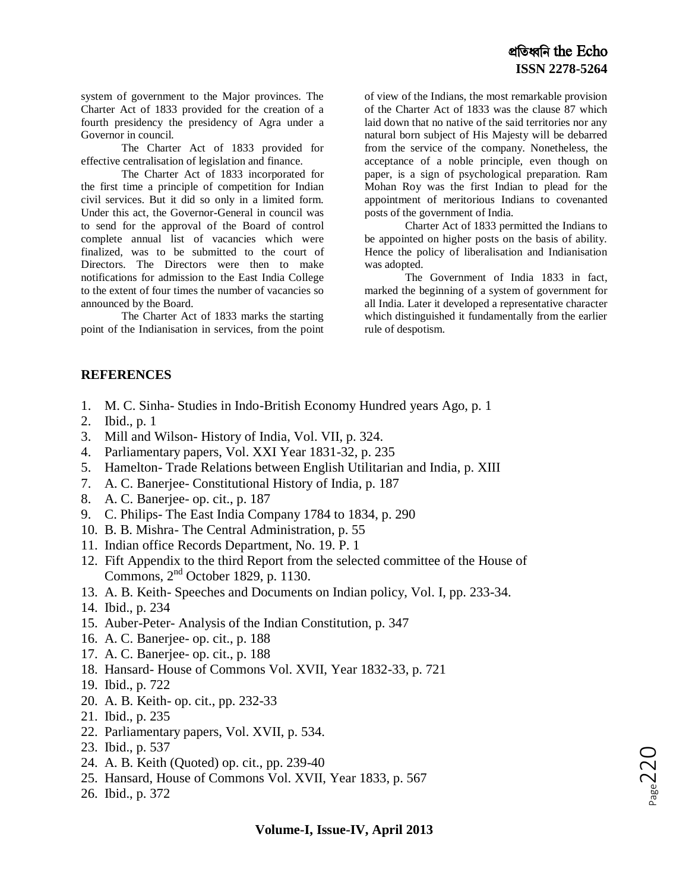system of government to the Major provinces. The Charter Act of 1833 provided for the creation of a fourth presidency the presidency of Agra under a Governor in council.

The Charter Act of 1833 provided for effective centralisation of legislation and finance.

The Charter Act of 1833 incorporated for the first time a principle of competition for Indian civil services. But it did so only in a limited form. Under this act, the Governor-General in council was to send for the approval of the Board of control complete annual list of vacancies which were finalized, was to be submitted to the court of Directors. The Directors were then to make notifications for admission to the East India College to the extent of four times the number of vacancies so announced by the Board.

The Charter Act of 1833 marks the starting point of the Indianisation in services, from the point of view of the Indians, the most remarkable provision of the Charter Act of 1833 was the clause 87 which laid down that no native of the said territories nor any natural born subject of His Majesty will be debarred from the service of the company. Nonetheless, the acceptance of a noble principle, even though on paper, is a sign of psychological preparation. Ram Mohan Roy was the first Indian to plead for the appointment of meritorious Indians to covenanted posts of the government of India.

Charter Act of 1833 permitted the Indians to be appointed on higher posts on the basis of ability. Hence the policy of liberalisation and Indianisation was adopted.

The Government of India 1833 in fact, marked the beginning of a system of government for all India. Later it developed a representative character which distinguished it fundamentally from the earlier rule of despotism.

## **REFERENCES**

- 1. M. C. Sinha- Studies in Indo-British Economy Hundred years Ago, p. 1
- 2. Ibid., p. 1
- 3. Mill and Wilson- History of India, Vol. VII, p. 324.
- 4. Parliamentary papers, Vol. XXI Year 1831-32, p. 235
- 5. Hamelton- Trade Relations between English Utilitarian and India, p. XIII
- 7. A. C. Banerjee- Constitutional History of India, p. 187
- 8. A. C. Banerjee- op. cit., p. 187
- 9. C. Philips- The East India Company 1784 to 1834, p. 290
- 10. B. B. Mishra- The Central Administration, p. 55
- 11. Indian office Records Department, No. 19. P. 1
- 12. Fift Appendix to the third Report from the selected committee of the House of Commons,  $2<sup>nd</sup>$  October 1829, p. 1130.
- 13. A. B. Keith- Speeches and Documents on Indian policy, Vol. I, pp. 233-34.
- 14. Ibid., p. 234
- 15. Auber-Peter- Analysis of the Indian Constitution, p. 347
- 16. A. C. Banerjee- op. cit., p. 188
- 17. A. C. Banerjee- op. cit., p. 188
- 18. Hansard- House of Commons Vol. XVII, Year 1832-33, p. 721
- 19. Ibid., p. 722
- 20. A. B. Keith- op. cit., pp. 232-33
- 21. Ibid., p. 235
- 22. Parliamentary papers, Vol. XVII, p. 534.
- 23. Ibid., p. 537
- 24. A. B. Keith (Quoted) op. cit., pp. 239-40
- 25. Hansard, House of Commons Vol. XVII, Year 1833, p. 567
- 26. Ibid., p. 372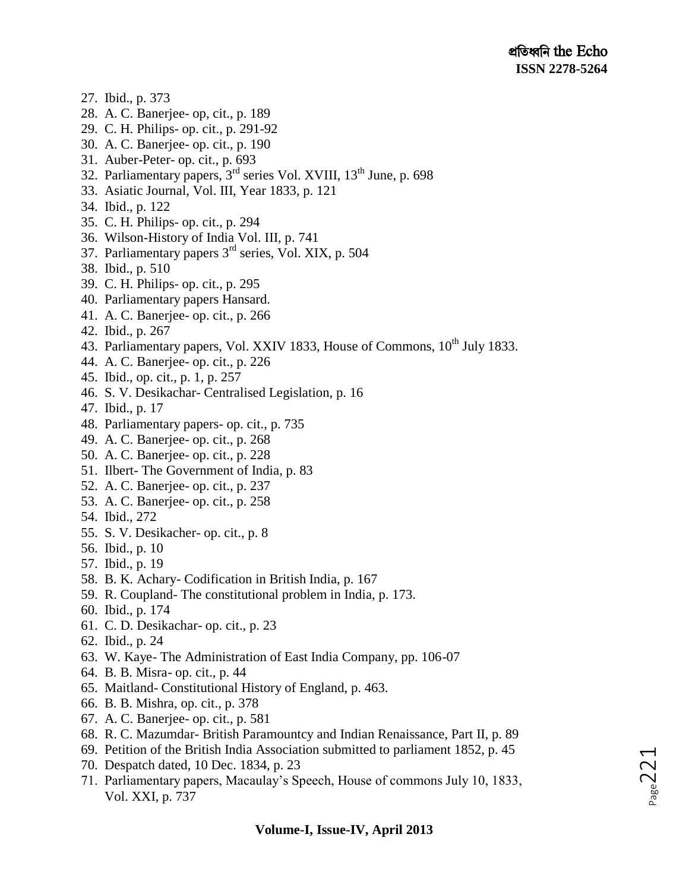- 27. Ibid., p. 373
- 28. A. C. Banerjee- op, cit., p. 189
- 29. C. H. Philips- op. cit., p. 291-92
- 30. A. C. Banerjee- op. cit., p. 190
- 31. Auber-Peter- op. cit., p. 693
- 32. Parliamentary papers,  $3<sup>rd</sup>$  series Vol. XVIII,  $13<sup>th</sup>$  June, p. 698
- 33. Asiatic Journal, Vol. III, Year 1833, p. 121
- 34. Ibid., p. 122
- 35. C. H. Philips- op. cit., p. 294
- 36. Wilson-History of India Vol. III, p. 741
- 37. Parliamentary papers 3rd series, Vol. XIX, p. 504
- 38. Ibid., p. 510
- 39. C. H. Philips- op. cit., p. 295
- 40. Parliamentary papers Hansard.
- 41. A. C. Banerjee- op. cit., p. 266
- 42. Ibid., p. 267
- 43. Parliamentary papers, Vol. XXIV 1833, House of Commons, 10<sup>th</sup> July 1833.
- 44. A. C. Banerjee- op. cit., p. 226
- 45. Ibid., op. cit., p. 1, p. 257
- 46. S. V. Desikachar- Centralised Legislation, p. 16
- 47. Ibid., p. 17
- 48. Parliamentary papers- op. cit., p. 735
- 49. A. C. Banerjee- op. cit., p. 268
- 50. A. C. Banerjee- op. cit., p. 228
- 51. Ilbert- The Government of India, p. 83
- 52. A. C. Banerjee- op. cit., p. 237
- 53. A. C. Banerjee- op. cit., p. 258
- 54. Ibid., 272
- 55. S. V. Desikacher- op. cit., p. 8
- 56. Ibid., p. 10
- 57. Ibid., p. 19
- 58. B. K. Achary- Codification in British India, p. 167
- 59. R. Coupland- The constitutional problem in India, p. 173.
- 60. Ibid., p. 174
- 61. C. D. Desikachar- op. cit., p. 23
- 62. Ibid., p. 24
- 63. W. Kaye- The Administration of East India Company, pp. 106-07
- 64. B. B. Misra- op. cit., p. 44
- 65. Maitland- Constitutional History of England, p. 463.
- 66. B. B. Mishra, op. cit., p. 378
- 67. A. C. Banerjee- op. cit., p. 581
- 68. R. C. Mazumdar- British Paramountcy and Indian Renaissance, Part II, p. 89
- 69. Petition of the British India Association submitted to parliament 1852, p. 45
- 70. Despatch dated, 10 Dec. 1834, p. 23
- 71. Parliamentary papers, Macaulay's Speech, House of commons July 10, 1833, Vol. XXI, p. 737

#### **Volume-I, Issue-IV, April 2013**